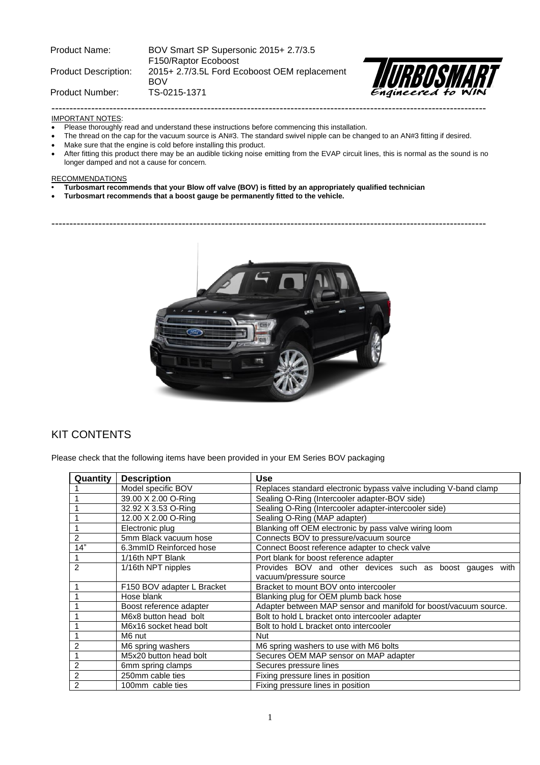| <b>Product Name:</b>        | BOV Smart SP Supersonic 2015+ 2.7/3.5<br>F150/Raptor Ecoboost |                   |
|-----------------------------|---------------------------------------------------------------|-------------------|
| <b>Product Description:</b> | 2015+ 2.7/3.5L Ford Ecoboost OEM replacement<br><b>BOV</b>    | <b>IN REOSMAR</b> |
| Product Number:             | TS-0215-1371                                                  |                   |
|                             |                                                               |                   |



#### IMPORTANT NOTES:

- Please thoroughly read and understand these instructions before commencing this installation.
- The thread on the cap for the vacuum source is AN#3. The standard swivel nipple can be changed to an AN#3 fitting if desired.
- Make sure that the engine is cold before installing this product.
- After fitting this product there may be an audible ticking noise emitting from the EVAP circuit lines, this is normal as the sound is no longer damped and not a cause for concern.

#### **RECOMMENDATIONS**

- **• Turbosmart recommends that your Blow off valve (BOV) is fitted by an appropriately qualified technician**
- **Turbosmart recommends that a boost gauge be permanently fitted to the vehicle.**

------------------------------------------------------------------------------------------------------------------------



## KIT CONTENTS

Please check that the following items have been provided in your EM Series BOV packaging

| Quantity       | <b>Description</b>         | <b>Use</b>                                                       |
|----------------|----------------------------|------------------------------------------------------------------|
|                | Model specific BOV         | Replaces standard electronic bypass valve including V-band clamp |
|                | 39.00 X 2.00 O-Ring        | Sealing O-Ring (Intercooler adapter-BOV side)                    |
|                | 32.92 X 3.53 O-Ring        | Sealing O-Ring (Intercooler adapter-intercooler side)            |
|                | 12.00 X 2.00 O-Ring        | Sealing O-Ring (MAP adapter)                                     |
|                | Electronic plug            | Blanking off OEM electronic by pass valve wiring loom            |
| 2              | 5mm Black vacuum hose      | Connects BOV to pressure/vacuum source                           |
| 14"            | 6.3mmID Reinforced hose    | Connect Boost reference adapter to check valve                   |
|                | 1/16th NPT Blank           | Port blank for boost reference adapter                           |
| 2              | 1/16th NPT nipples         | Provides BOV and other devices such as boost gauges with         |
|                |                            | vacuum/pressure source                                           |
|                | F150 BOV adapter L Bracket | Bracket to mount BOV onto intercooler                            |
|                | Hose blank                 | Blanking plug for OEM plumb back hose                            |
|                | Boost reference adapter    | Adapter between MAP sensor and manifold for boost/vacuum source. |
|                | M6x8 button head bolt      | Bolt to hold L bracket onto intercooler adapter                  |
|                | M6x16 socket head bolt     | Bolt to hold L bracket onto intercooler                          |
|                | M6 nut                     | <b>Nut</b>                                                       |
| 2              | M6 spring washers          | M6 spring washers to use with M6 bolts                           |
|                | M5x20 button head bolt     | Secures OEM MAP sensor on MAP adapter                            |
| 2              | 6mm spring clamps          | Secures pressure lines                                           |
| $\overline{2}$ | 250mm cable ties           | Fixing pressure lines in position                                |
| $\overline{2}$ | 100mm cable ties           | Fixing pressure lines in position                                |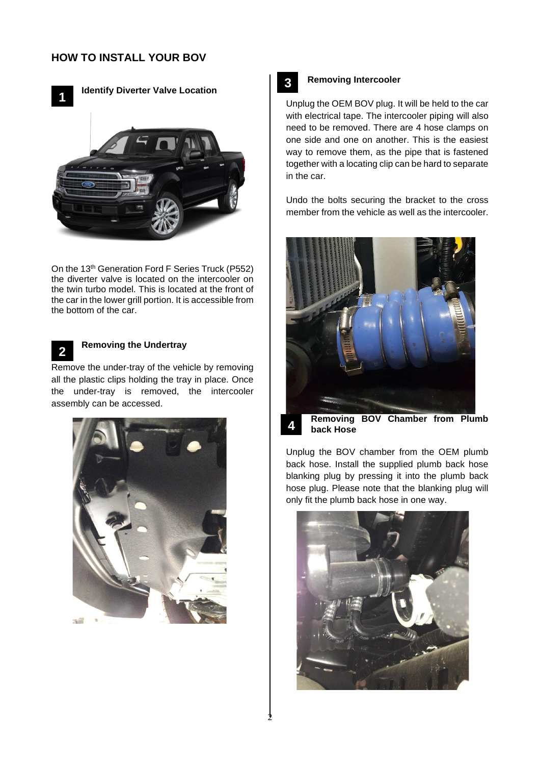

**Identify Diverter Valve Location**



On the 13<sup>th</sup> Generation Ford F Series Truck (P552) the diverter valve is located on the intercooler on the twin turbo model. This is located at the front of the car in the lower grill portion. It is accessible from the bottom of the car.



## **Removing the Undertray**

Remove the under-tray of the vehicle by removing all the plastic clips holding the tray in place. Once the under-tray is removed, the intercooler assembly can be accessed.





**4**

#### **Removing Intercooler**

Unplug the OEM BOV plug. It will be held to the car with electrical tape. The intercooler piping will also need to be removed. There are 4 hose clamps on one side and one on another. This is the easiest way to remove them, as the pipe that is fastened together with a locating clip can be hard to separate in the car.

Undo the bolts securing the bracket to the cross member from the vehicle as well as the intercooler.



**Removing BOV Chamber from Plumb back Hose** 

Unplug the BOV chamber from the OEM plumb back hose. Install the supplied plumb back hose blanking plug by pressing it into the plumb back hose plug. Please note that the blanking plug will only fit the plumb back hose in one way.

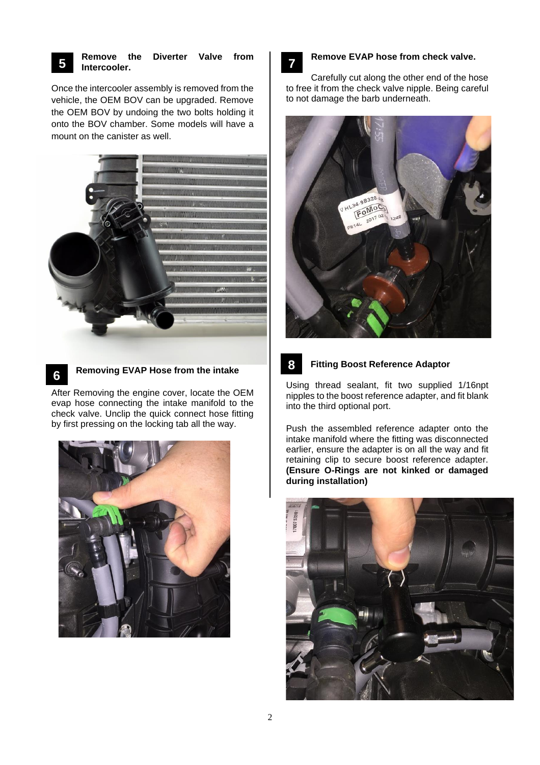

## **Remove the Diverter Valve from Intercooler.**

Once the intercooler assembly is removed from the vehicle, the OEM BOV can be upgraded. Remove the OEM BOV by undoing the two bolts holding it onto the BOV chamber. Some models will have a mount on the canister as well.



**6**

## **Removing EVAP Hose from the intake**

After Removing the engine cover, locate the OEM evap hose connecting the intake manifold to the check valve. Unclip the quick connect hose fitting by first pressing on the locking tab all the way.



# **7**

**8**

## **Remove EVAP hose from check valve.**

Carefully cut along the other end of the hose to free it from the check valve nipple. Being careful to not damage the barb underneath.



## **Fitting Boost Reference Adaptor**

Using thread sealant, fit two supplied 1/16npt nipples to the boost reference adapter, and fit blank into the third optional port.

Push the assembled reference adapter onto the intake manifold where the fitting was disconnected earlier, ensure the adapter is on all the way and fit retaining clip to secure boost reference adapter. **(Ensure O-Rings are not kinked or damaged during installation)**

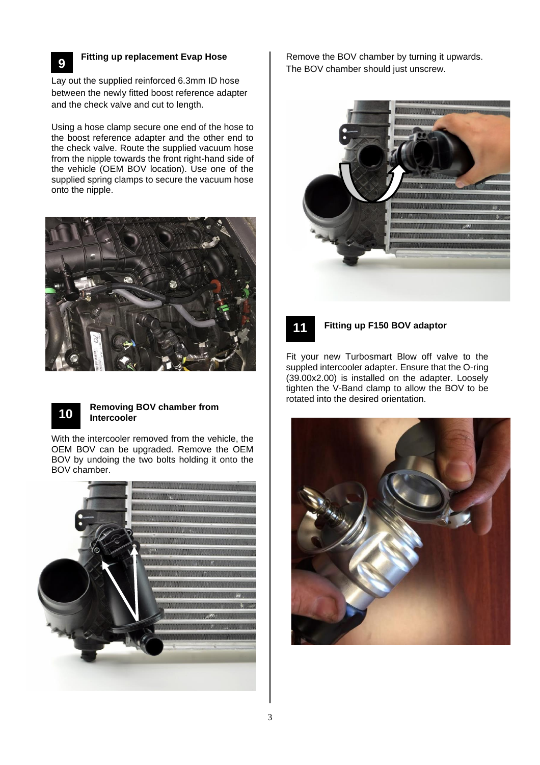

# **Fitting up replacement Evap Hose**

Lay out the supplied reinforced 6.3mm ID hose between the newly fitted boost reference adapter and the check valve and cut to length.

Using a hose clamp secure one end of the hose to the boost reference adapter and the other end to the check valve. Route the supplied vacuum hose from the nipple towards the front right-hand side of the vehicle (OEM BOV location). Use one of the supplied spring clamps to secure the vacuum hose onto the nipple.





#### **Removing BOV chamber from Intercooler**

With the intercooler removed from the vehicle, the OEM BOV can be upgraded. Remove the OEM BOV by undoing the two bolts holding it onto the BOV chamber.



Remove the BOV chamber by turning it upwards. The BOV chamber should just unscrew.





#### **Fitting up F150 BOV adaptor**

Fit your new Turbosmart Blow off valve to the suppled intercooler adapter. Ensure that the O-ring (39.00x2.00) is installed on the adapter. Loosely tighten the V-Band clamp to allow the BOV to be rotated into the desired orientation.

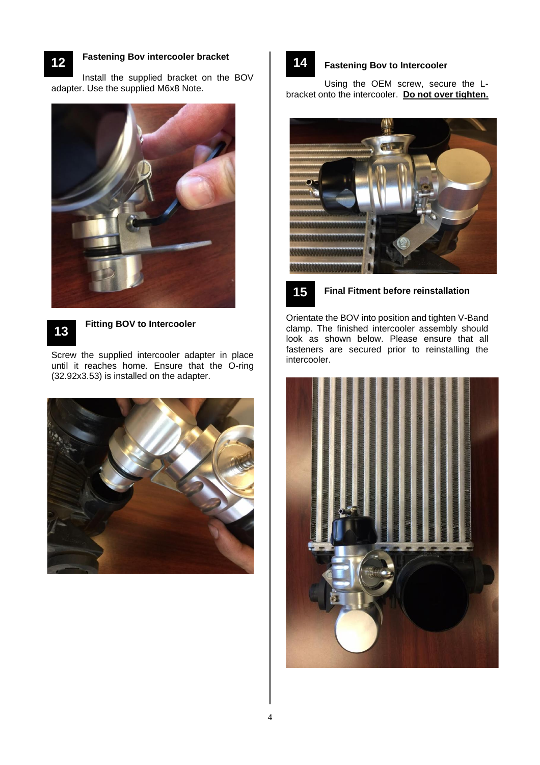**12**

## **Fastening Bov intercooler bracket**

Install the supplied bracket on the BOV adapter. Use the supplied M6x8 Note.





#### **Fitting BOV to Intercooler**

Screw the supplied intercooler adapter in place until it reaches home. Ensure that the O-ring (32.92x3.53) is installed on the adapter.



# **14**

#### **Fastening Bov to Intercooler**

Using the OEM screw, secure the Lbracket onto the intercooler. **Do not over tighten.**





## **Final Fitment before reinstallation**

Orientate the BOV into position and tighten V-Band clamp. The finished intercooler assembly should look as shown below. Please ensure that all fasteners are secured prior to reinstalling the intercooler.

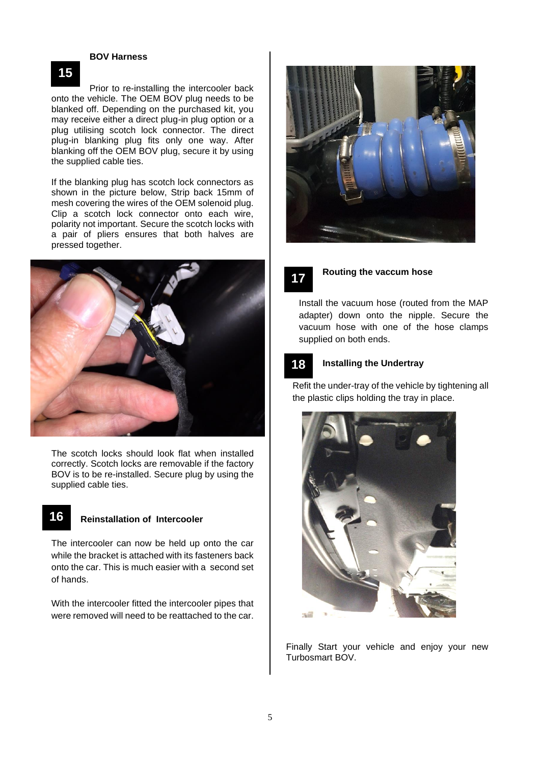#### **BOV Harness**

Prior to re-installing the intercooler back onto the vehicle. The OEM BOV plug needs to be blanked off. Depending on the purchased kit, you may receive either a direct plug-in plug option or a plug utilising scotch lock connector. The direct plug-in blanking plug fits only one way. After blanking off the OEM BOV plug, secure it by using the supplied cable ties.

If the blanking plug has scotch lock connectors as shown in the picture below, Strip back 15mm of mesh covering the wires of the OEM solenoid plug. Clip a scotch lock connector onto each wire, polarity not important. Secure the scotch locks with a pair of pliers ensures that both halves are pressed together.



The scotch locks should look flat when installed correctly. Scotch locks are removable if the factory BOV is to be re-installed. Secure plug by using the supplied cable ties.

## **16**

## **Reinstallation of Intercooler**

The intercooler can now be held up onto the car while the bracket is attached with its fasteners back onto the car. This is much easier with a second set of hands.

With the intercooler fitted the intercooler pipes that were removed will need to be reattached to the car.





#### **Routing the vaccum hose**

Install the vacuum hose (routed from the MAP adapter) down onto the nipple. Secure the vacuum hose with one of the hose clamps supplied on both ends.



## **Installing the Undertray**

Refit the under-tray of the vehicle by tightening all the plastic clips holding the tray in place.



Finally Start your vehicle and enjoy your new Turbosmart BOV.

# **15**